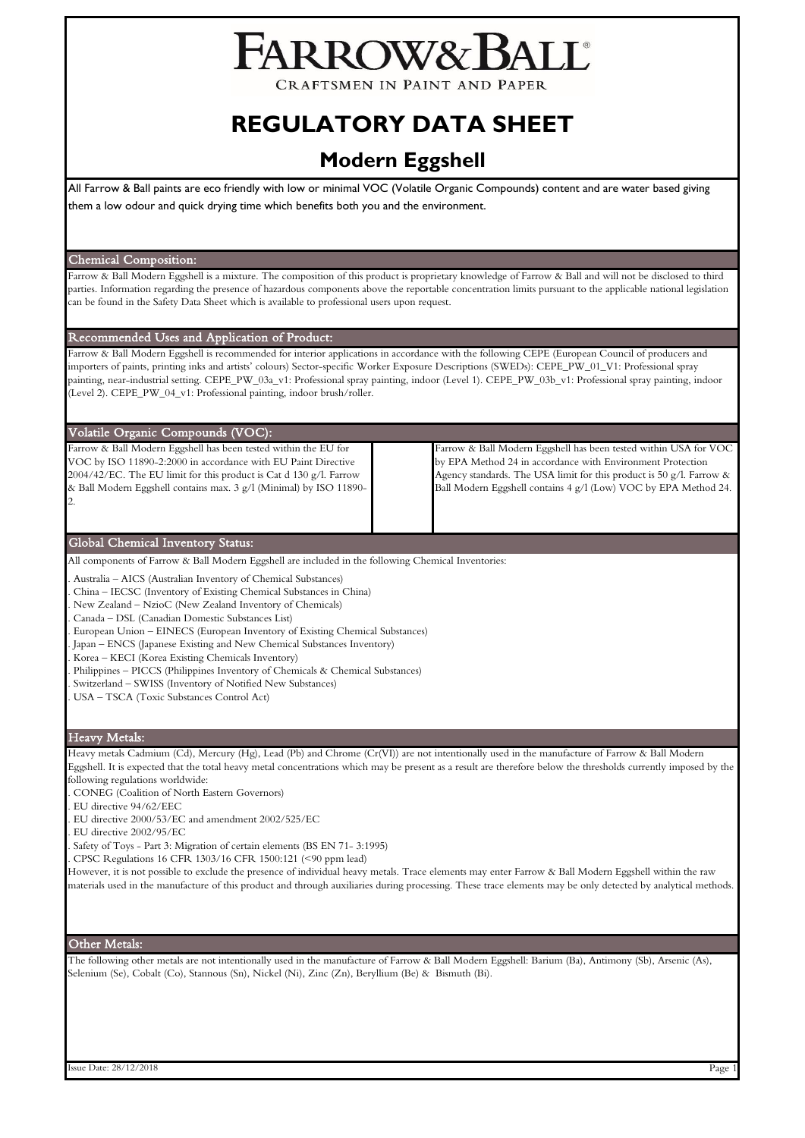# FARROW&BALL

CRAFTSMEN IN PAINT AND PAPER

## **REGULATORY DATA SHEET**

### **Modern Eggshell**

All Farrow & Ball paints are eco friendly with low or minimal VOC (Volatile Organic Compounds) content and are water based giving them a low odour and quick drying time which benefits both you and the environment.

#### Chemical Composition:

Farrow & Ball Modern Eggshell is a mixture. The composition of this product is proprietary knowledge of Farrow & Ball and will not be disclosed to third parties. Information regarding the presence of hazardous components above the reportable concentration limits pursuant to the applicable national legislation can be found in the Safety Data Sheet which is available to professional users upon request.

#### Recommended Uses and Application of Product:

Farrow & Ball Modern Eggshell is recommended for interior applications in accordance with the following CEPE (European Council of producers and importers of paints, printing inks and artists' colours) Sector-specific Worker Exposure Descriptions (SWEDs): CEPE\_PW\_01\_V1: Professional spray painting, near-industrial setting. CEPE\_PW\_03a\_v1: Professional spray painting, indoor (Level 1). CEPE\_PW\_03b\_v1: Professional spray painting, indoor (Level 2). CEPE\_PW\_04\_v1: Professional painting, indoor brush/roller.

#### Volatile Organic Compounds (VOC):

Farrow & Ball Modern Eggshell has been tested within the EU for VOC by ISO 11890-2:2000 in accordance with EU Paint Directive 2004/42/EC. The EU limit for this product is Cat d 130 g/l. Farrow & Ball Modern Eggshell contains max. 3 g/l (Minimal) by ISO 11890- 2.

Farrow & Ball Modern Eggshell has been tested within USA for VOC by EPA Method 24 in accordance with Environment Protection Agency standards. The USA limit for this product is 50 g/l. Farrow & Ball Modern Eggshell contains 4 g/l (Low) VOC by EPA Method 24.

#### Global Chemical Inventory Status:

All components of Farrow & Ball Modern Eggshell are included in the following Chemical Inventories:

- . Australia AICS (Australian Inventory of Chemical Substances)
- . China IECSC (Inventory of Existing Chemical Substances in China)
- . New Zealand NzioC (New Zealand Inventory of Chemicals)
- . Canada DSL (Canadian Domestic Substances List)
- . European Union EINECS (European Inventory of Existing Chemical Substances)
- . Japan ENCS (Japanese Existing and New Chemical Substances Inventory)
- . Korea KECI (Korea Existing Chemicals Inventory)
- . Philippines PICCS (Philippines Inventory of Chemicals & Chemical Substances)
- . Switzerland SWISS (Inventory of Notified New Substances)
- . USA TSCA (Toxic Substances Control Act)

#### Heavy Metals:

Heavy metals Cadmium (Cd), Mercury (Hg), Lead (Pb) and Chrome (Cr(VI)) are not intentionally used in the manufacture of Farrow & Ball Modern Eggshell. It is expected that the total heavy metal concentrations which may be present as a result are therefore below the thresholds currently imposed by the following regulations worldwide:

- . CONEG (Coalition of North Eastern Governors)
- . EU directive 94/62/EEC
- . EU directive 2000/53/EC and amendment 2002/525/EC
- . EU directive 2002/95/EC
- . Safety of Toys Part 3: Migration of certain elements (BS EN 71- 3:1995)
- . CPSC Regulations 16 CFR 1303/16 CFR 1500:121 (<90 ppm lead)

However, it is not possible to exclude the presence of individual heavy metals. Trace elements may enter Farrow & Ball Modern Eggshell within the raw materials used in the manufacture of this product and through auxiliaries during processing. These trace elements may be only detected by analytical methods.

#### Other Metals:

The following other metals are not intentionally used in the manufacture of Farrow & Ball Modern Eggshell: Barium (Ba), Antimony (Sb), Arsenic (As), Selenium (Se), Cobalt (Co), Stannous (Sn), Nickel (Ni), Zinc (Zn), Beryllium (Be) & Bismuth (Bi).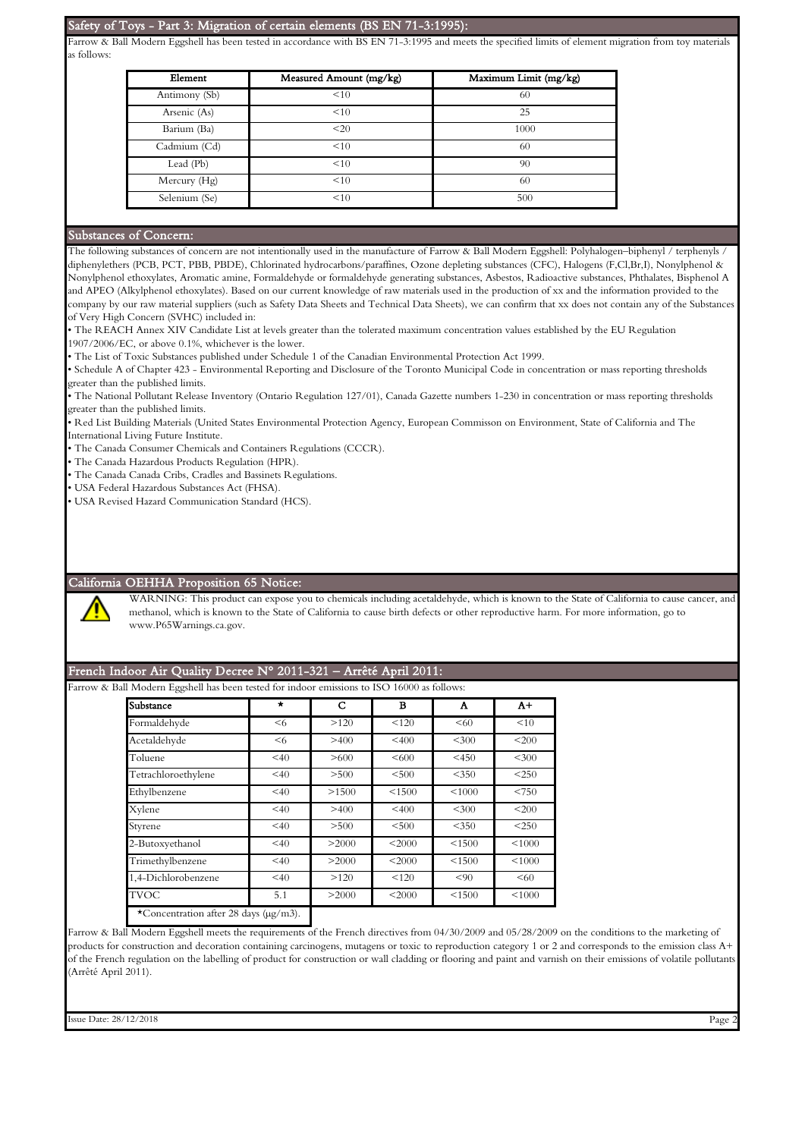#### Safety of Toys - Part 3: Migration of certain elements (BS EN 71-3:1995):

Farrow & Ball Modern Eggshell has been tested in accordance with BS EN 71-3:1995 and meets the specified limits of element migration from toy materials as follows:

| Element       | Measured Amount (mg/kg) | Maximum Limit (mg/kg) |  |  |
|---------------|-------------------------|-----------------------|--|--|
| Antimony (Sb) | <10                     | 60                    |  |  |
| Arsenic (As)  | <10                     | 25                    |  |  |
| Barium (Ba)   | <20                     | 1000                  |  |  |
| Cadmium (Cd)  | <10                     | 60                    |  |  |
| Lead (Pb)     | <10                     | 90                    |  |  |
| Mercury (Hg)  | <10                     | 60                    |  |  |
| Selenium (Se) | <10                     | 500                   |  |  |

#### Substances of Concern:

The following substances of concern are not intentionally used in the manufacture of Farrow & Ball Modern Eggshell: Polyhalogen–biphenyl / terphenyls diphenylethers (PCB, PCT, PBB, PBDE), Chlorinated hydrocarbons/paraffines, Ozone depleting substances (CFC), Halogens (F,Cl,Br,I), Nonylphenol & Nonylphenol ethoxylates, Aromatic amine, Formaldehyde or formaldehyde generating substances, Asbestos, Radioactive substances, Phthalates, Bisphenol A and APEO (Alkylphenol ethoxylates). Based on our current knowledge of raw materials used in the production of xx and the information provided to the company by our raw material suppliers (such as Safety Data Sheets and Technical Data Sheets), we can confirm that xx does not contain any of the Substances of Very High Concern (SVHC) included in:

• The REACH Annex XIV Candidate List at levels greater than the tolerated maximum concentration values established by the EU Regulation 1907/2006/EC, or above 0.1%, whichever is the lower.

• The List of Toxic Substances published under Schedule 1 of the Canadian Environmental Protection Act 1999.

• Schedule A of Chapter 423 - Environmental Reporting and Disclosure of the Toronto Municipal Code in concentration or mass reporting thresholds greater than the published limits.

• The National Pollutant Release Inventory (Ontario Regulation 127/01), Canada Gazette numbers 1-230 in concentration or mass reporting thresholds greater than the published limits.

• Red List Building Materials (United States Environmental Protection Agency, European Commisson on Environment, State of California and The International Living Future Institute.

• The Canada Consumer Chemicals and Containers Regulations (CCCR).

• The Canada Hazardous Products Regulation (HPR).

• The Canada Canada Cribs, Cradles and Bassinets Regulations.

• USA Federal Hazardous Substances Act (FHSA).

• USA Revised Hazard Communication Standard (HCS).

#### California OEHHA Proposition 65 Notice:

WARNING: This product can expose you to chemicals including acetaldehyde, which is known to the State of California to cause cancer, and methanol, which is known to the State of California to cause birth defects or other reproductive harm. For more information, go to www.P65Warnings.ca.gov.

#### French Indoor Air Quality Decree N° 2011-321 – Arrêté April 2011:

Farrow & Ball Modern Eggshell has been tested for indoor emissions to ISO 16000 as follows:

| Substance           | $\star$ | C     | в        | Α       | $A+$    |
|---------------------|---------|-------|----------|---------|---------|
| Formaldehyde        | $6$     | >120  | < 120    | < 60    | <10     |
| Acetaldehyde        | $6$     | >400  | < 400    | < 300   | <200    |
| Toluene             | < 40    | >600  | <600     | $<$ 450 | < 300   |
| Tetrachloroethylene | < 40    | > 500 | < 500    | < 350   | $<$ 250 |
| Ethylbenzene        | < 40    | >1500 | < 1500   | < 1000  | < 750   |
| Xylene              | < 40    | >400  | $<$ 400  | $<$ 300 | <200    |
| Styrene             | < 40    | > 500 | < 500    | $<$ 350 | $<$ 250 |
| 2-Butoxyethanol     | < 40    | >2000 | $<$ 2000 | < 1500  | < 1000  |
| Trimethylbenzene    | < 40    | >2000 | < 2000   | < 1500  | < 1000  |
| 1.4-Dichlorobenzene | < 40    | >120  | < 120    | < 90    | < 60    |
| <b>TVOC</b>         | 5.1     | >2000 | $<$ 2000 | < 1500  | < 1000  |

Farrow & Ball Modern Eggshell meets the requirements of the French directives from 04/30/2009 and 05/28/2009 on the conditions to the marketing of products for construction and decoration containing carcinogens, mutagens or toxic to reproduction category 1 or 2 and corresponds to the emission class A+ of the French regulation on the labelling of product for construction or wall cladding or flooring and paint and varnish on their emissions of volatile pollutants (Arrêté April 2011).

Issue Date: 28/12/2018 Page 2